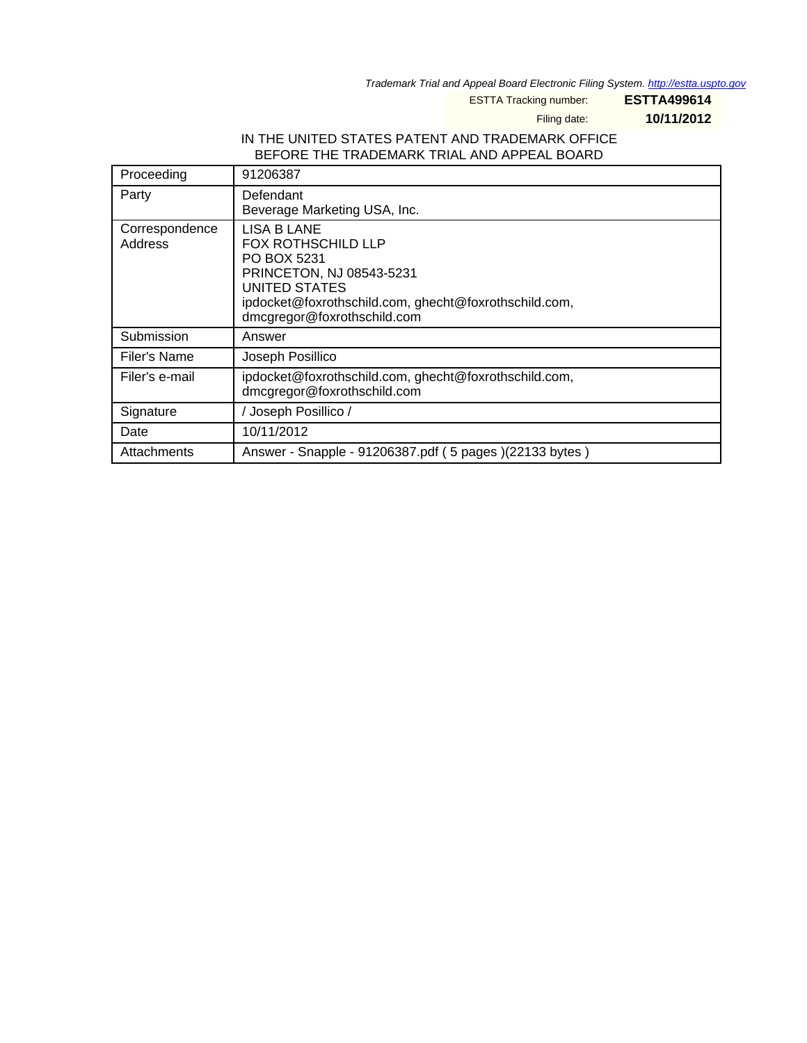Trademark Trial and Appeal Board Electronic Filing System. <http://estta.uspto.gov>

ESTTA Tracking number: **ESTTA499614**

Filing date: **10/11/2012**

### IN THE UNITED STATES PATENT AND TRADEMARK OFFICE BEFORE THE TRADEMARK TRIAL AND APPEAL BOARD

| Proceeding                | 91206387                                                                                                                                                                                     |
|---------------------------|----------------------------------------------------------------------------------------------------------------------------------------------------------------------------------------------|
| Party                     | Defendant<br>Beverage Marketing USA, Inc.                                                                                                                                                    |
| Correspondence<br>Address | LISA B LANE<br><b>FOX ROTHSCHILD LLP</b><br>PO BOX 5231<br>PRINCETON, NJ 08543-5231<br>UNITED STATES<br>ipdocket@foxrothschild.com, ghecht@foxrothschild.com,<br>dmcgregor@foxrothschild.com |
| Submission                | Answer                                                                                                                                                                                       |
| Filer's Name              | Joseph Posillico                                                                                                                                                                             |
| Filer's e-mail            | ipdocket@foxrothschild.com, ghecht@foxrothschild.com,<br>dmcgregor@foxrothschild.com                                                                                                         |
| Signature                 | / Joseph Posillico /                                                                                                                                                                         |
| Date                      | 10/11/2012                                                                                                                                                                                   |
| Attachments               | Answer - Snapple - 91206387.pdf (5 pages )(22133 bytes )                                                                                                                                     |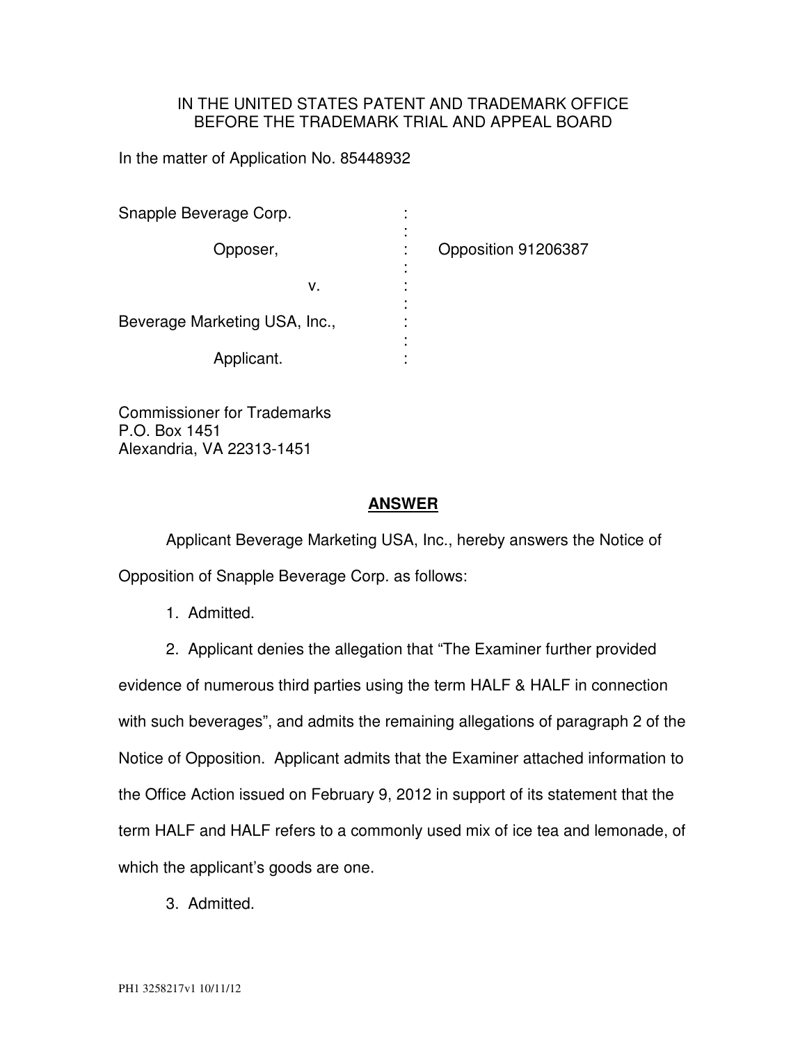## IN THE UNITED STATES PATENT AND TRADEMARK OFFICE BEFORE THE TRADEMARK TRIAL AND APPEAL BOARD

In the matter of Application No. 85448932

| Snapple Beverage Corp.        |   |                     |
|-------------------------------|---|---------------------|
| Opposer,                      |   | Opposition 91206387 |
|                               |   |                     |
| ν.                            |   |                     |
|                               |   |                     |
| Beverage Marketing USA, Inc., | ٠ |                     |
|                               | ٠ |                     |
| Applicant.                    |   |                     |

Commissioner for Trademarks P.O. Box 1451 Alexandria, VA 22313-1451

#### **ANSWER**

 Applicant Beverage Marketing USA, Inc., hereby answers the Notice of Opposition of Snapple Beverage Corp. as follows:

1. Admitted.

2. Applicant denies the allegation that "The Examiner further provided evidence of numerous third parties using the term HALF & HALF in connection with such beverages", and admits the remaining allegations of paragraph 2 of the Notice of Opposition. Applicant admits that the Examiner attached information to the Office Action issued on February 9, 2012 in support of its statement that the term HALF and HALF refers to a commonly used mix of ice tea and lemonade, of which the applicant's goods are one.

3. Admitted.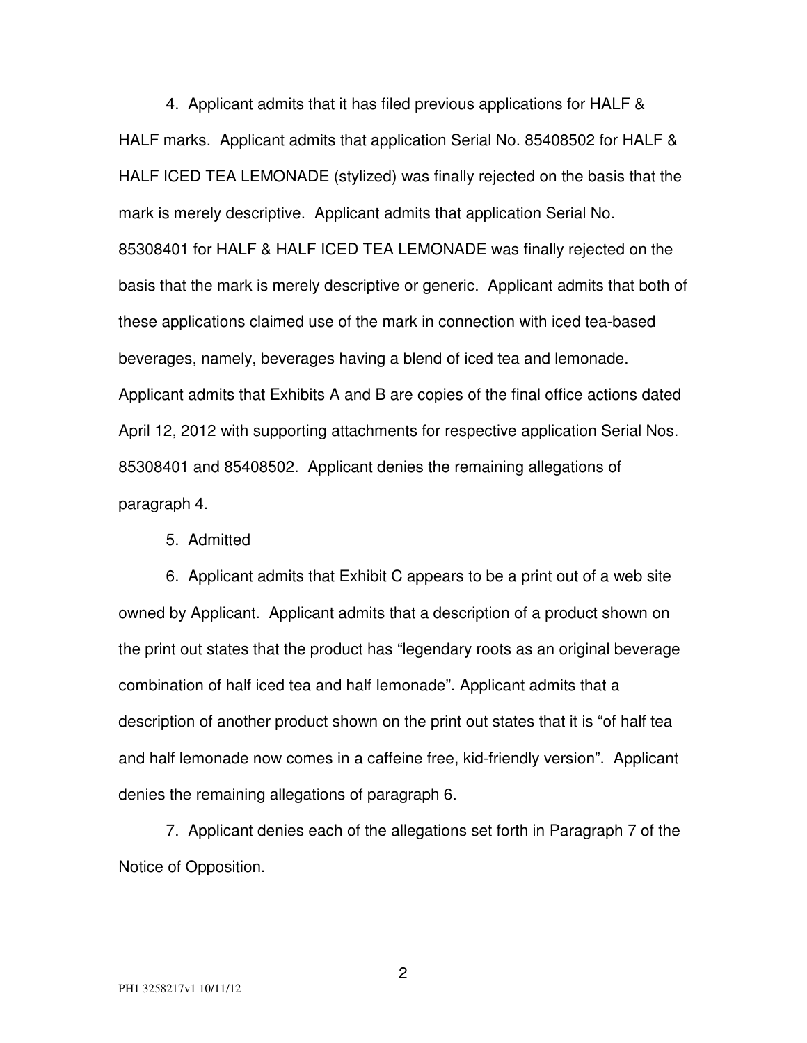4. Applicant admits that it has filed previous applications for HALF & HALF marks. Applicant admits that application Serial No. 85408502 for HALF & HALF ICED TEA LEMONADE (stylized) was finally rejected on the basis that the mark is merely descriptive. Applicant admits that application Serial No. 85308401 for HALF & HALF ICED TEA LEMONADE was finally rejected on the basis that the mark is merely descriptive or generic. Applicant admits that both of these applications claimed use of the mark in connection with iced tea-based beverages, namely, beverages having a blend of iced tea and lemonade. Applicant admits that Exhibits A and B are copies of the final office actions dated April 12, 2012 with supporting attachments for respective application Serial Nos. 85308401 and 85408502. Applicant denies the remaining allegations of paragraph 4.

5. Admitted

6. Applicant admits that Exhibit C appears to be a print out of a web site owned by Applicant. Applicant admits that a description of a product shown on the print out states that the product has "legendary roots as an original beverage combination of half iced tea and half lemonade". Applicant admits that a description of another product shown on the print out states that it is "of half tea and half lemonade now comes in a caffeine free, kid-friendly version". Applicant denies the remaining allegations of paragraph 6.

7. Applicant denies each of the allegations set forth in Paragraph 7 of the Notice of Opposition.

2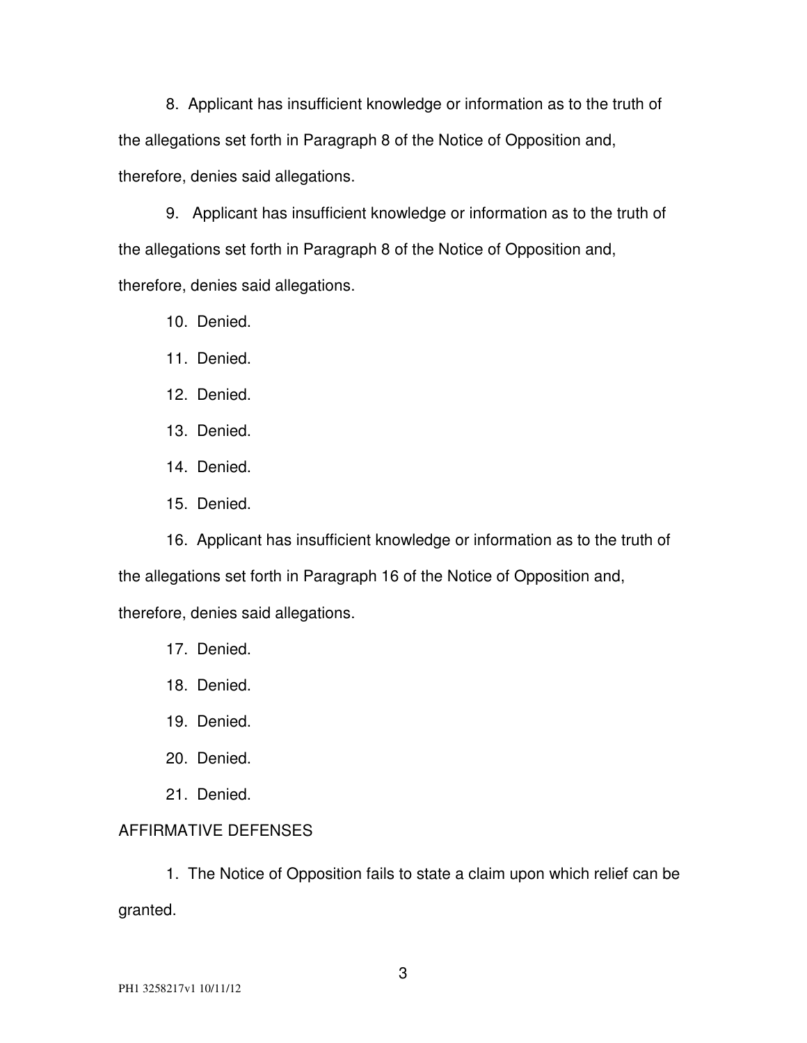8. Applicant has insufficient knowledge or information as to the truth of the allegations set forth in Paragraph 8 of the Notice of Opposition and, therefore, denies said allegations.

9. Applicant has insufficient knowledge or information as to the truth of the allegations set forth in Paragraph 8 of the Notice of Opposition and, therefore, denies said allegations.

10. Denied.

11. Denied.

12. Denied.

13. Denied.

14. Denied.

15. Denied.

16. Applicant has insufficient knowledge or information as to the truth of the allegations set forth in Paragraph 16 of the Notice of Opposition and, therefore, denies said allegations.

17. Denied.

18. Denied.

19. Denied.

20. Denied.

21. Denied.

## AFFIRMATIVE DEFENSES

1. The Notice of Opposition fails to state a claim upon which relief can be granted.

3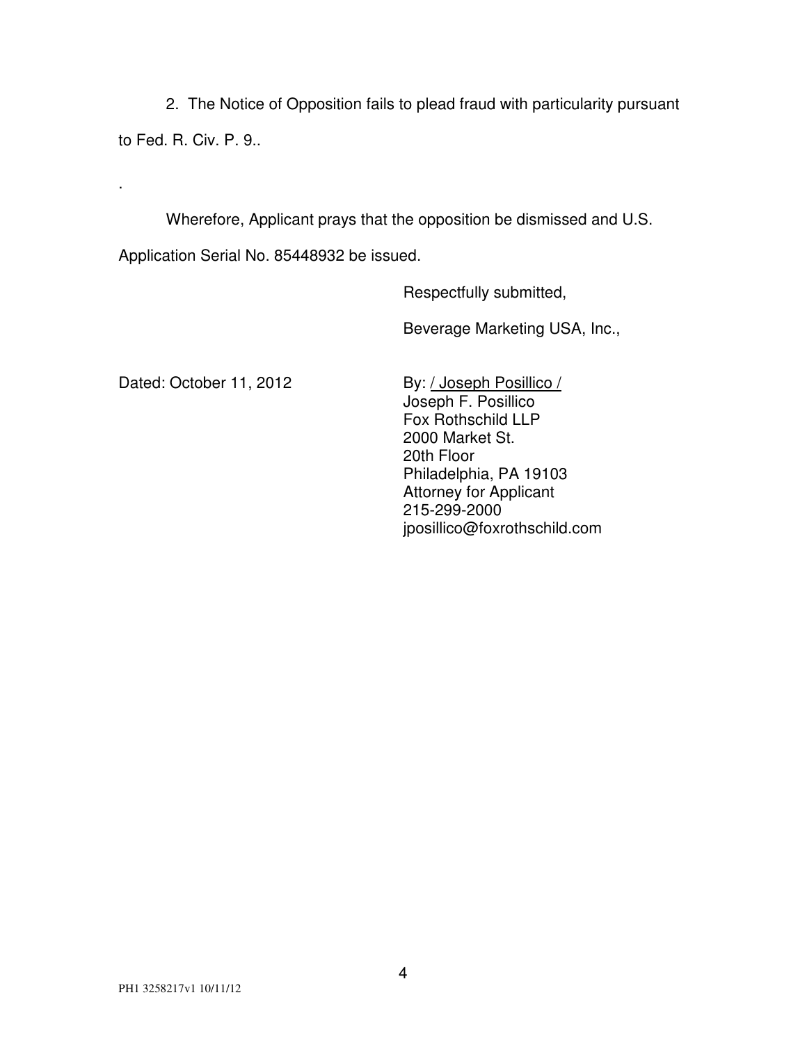2. The Notice of Opposition fails to plead fraud with particularity pursuant

to Fed. R. Civ. P. 9..

.

Wherefore, Applicant prays that the opposition be dismissed and U.S.

Application Serial No. 85448932 be issued.

Respectfully submitted,

Beverage Marketing USA, Inc.,

Dated: October 11, 2012 By: / Joseph Posillico /

 Joseph F. Posillico Fox Rothschild LLP 2000 Market St. 20th Floor Philadelphia, PA 19103 Attorney for Applicant 215-299-2000 jposillico@foxrothschild.com